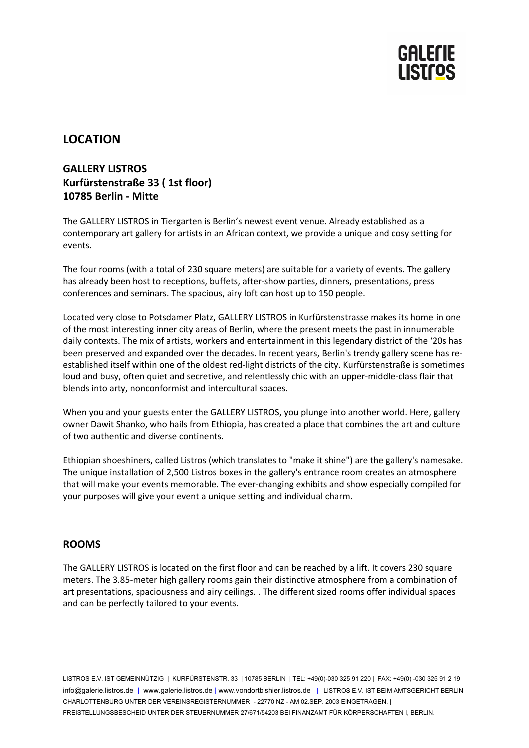

# **LOCATION**

## **GALLERY LISTROS Kurfürstenstraße 33 ( 1st floor) 10785 Berlin - Mitte**

The GALLERY LISTROS in Tiergarten is Berlin's newest event venue. Already established as a contemporary art gallery for artists in an African context, we provide a unique and cosy setting for events.

The four rooms (with a total of 230 square meters) are suitable for a variety of events. The gallery has already been host to receptions, buffets, after-show parties, dinners, presentations, press conferences and seminars. The spacious, airy loft can host up to 150 people.

Located very close to Potsdamer Platz, GALLERY LISTROS in Kurfürstenstrasse makes its home in one of the most interesting inner city areas of Berlin, where the present meets the past in innumerable daily contexts. The mix of artists, workers and entertainment in this legendary district of the '20s has been preserved and expanded over the decades. In recent years, Berlin's trendy gallery scene has reestablished itself within one of the oldest red-light districts of the city. Kurfürstenstraße is sometimes loud and busy, often quiet and secretive, and relentlessly chic with an upper-middle-class flair that blends into arty, nonconformist and intercultural spaces.

When you and your guests enter the GALLERY LISTROS, you plunge into another world. Here, gallery owner Dawit Shanko, who hails from Ethiopia, has created a place that combines the art and culture of two authentic and diverse continents.

Ethiopian shoeshiners, called Listros (which translates to "make it shine") are the gallery's namesake. The unique installation of 2,500 Listros boxes in the gallery's entrance room creates an atmosphere that will make your events memorable. The ever-changing exhibits and show especially compiled for your purposes will give your event a unique setting and individual charm.

## **ROOMS**

The GALLERY LISTROS is located on the first floor and can be reached by a lift. It covers 230 square meters. The 3.85-meter high gallery rooms gain their distinctive atmosphere from a combination of art presentations, spaciousness and airy ceilings. . The different sized rooms offer individual spaces and can be perfectly tailored to your events.

LISTROS E.V. IST GEMEINNÜTZIG | KURFÜRSTENSTR. 33 | 10785 BERLIN | TEL: +49(0)-030 325 91 220 | FAX: +49(0) -030 325 91 2 19 info@galerie.listros.de | www.galerie.listros.de | www.vondortbishier.listros.de | LISTROS E.V. IST BEIM AMTSGERICHT BERLIN CHARLOTTENBURG UNTER DER VEREINSREGISTERNUMMER - 22770 NZ - AM 02.SEP. 2003 EINGETRAGEN. | FREISTELLUNGSBESCHEID UNTER DER STEUERNUMMER 27/671/54203 BEI FINANZAMT FÜR KÖRPERSCHAFTEN I, BERLIN.